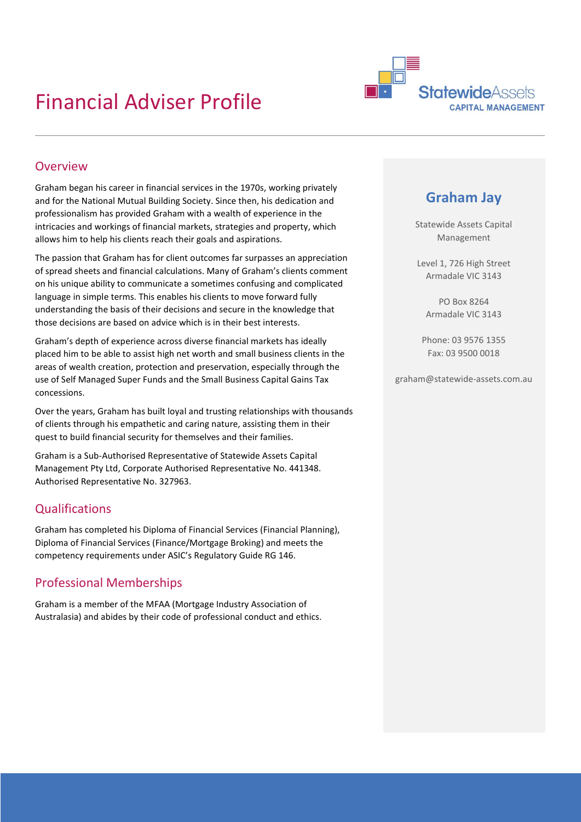## Financial Adviser Profile



#### Overview

Graham began his career in financial services in the 1970s, working privately and for the National Mutual Building Society. Since then, his dedication and professionalism has provided Graham with a wealth of experience in the intricacies and workings of financial markets, strategies and property, which allows him to help his clients reach their goals and aspirations.

The passion that Graham has for client outcomes far surpasses an appreciation of spread sheets and financial calculations. Many of Graham's clients comment on his unique ability to communicate a sometimes confusing and complicated language in simple terms. This enables his clients to move forward fully understanding the basis of their decisions and secure in the knowledge that those decisions are based on advice which is in their best interests.

Graham's depth of experience across diverse financial markets has ideally placed him to be able to assist high net worth and small business clients in the areas of wealth creation, protection and preservation, especially through the use of Self Managed Super Funds and the Small Business Capital Gains Tax concessions.

Over the years, Graham has built loyal and trusting relationships with thousands of clients through his empathetic and caring nature, assisting them in their quest to build financial security for themselves and their families.

Graham is a Sub-Authorised Representative of Statewide Assets Capital Management Pty Ltd, Corporate Authorised Representative No. 441348. Authorised Representative No. 327963.

## Qualifications

Graham has completed his Diploma of Financial Services (Financial Planning), Diploma of Financial Services (Finance/Mortgage Broking) and meets the competency requirements under ASIC's Regulatory Guide RG 146.

## Professional Memberships

Graham is a member of the MFAA (Mortgage Industry Association of Australasia) and abides by their code of professional conduct and ethics.

## **Graham Jay**

Statewide Assets Capital Management

Level 1, 726 High Street Armadale VIC 3143

PO Box 8264 Armadale VIC 3143

Phone: 03 9576 1355 Fax: 03 9500 0018

graham@statewide-assets.com.au